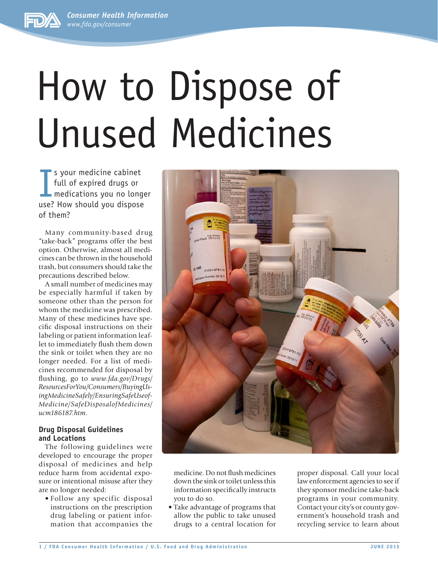*Consumer Health Information <www.fda.gov/consumer>*



# How to Dispose of Unused Medicines

I s your medicine cabinet full of expired drugs or medications you no longer use? How should you dispose of them?

Many community-based drug "take-back" programs offer the best option. Otherwise, almost all medicines can be thrown in the household trash, but consumers should take the precautions described below.

A small number of medicines may be especially harmful if taken by someone other than the person for whom the medicine was prescribed. Many of these medicines have specific disposal instructions on their labeling or patient information leaflet to immediately flush them down the sink or toilet when they are no longer needed. For a list of medicines recommended for disposal by flushing, go to *www.fda.gov/Drugs/ [ResourcesForYou/Consumers/BuyingUs](http://www.fda.gov/Drugs/ResourcesForYou/Consumers/BuyingUsingMedicineSafely/EnsuringSafeUseofMedicine/SafeDisposalofMedicines/ucm186187.htm)ingMedicineSafely/EnsuringSafeUseof-Medicine/SafeDisposalofMedicines/ ucm186187.htm*.

# **Drug Disposal Guidelines and Locations**

The following guidelines were developed to encourage the proper disposal of medicines and help reduce harm from accidental exposure or intentional misuse after they are no longer needed:

• Follow any specific disposal instructions on the prescription drug labeling or patient information that accompanies the



medicine. Do not flush medicines down the sink or toilet unless this information specifically instructs you to do so.

• Take advantage of programs that allow the public to take unused drugs to a central location for proper disposal. Call your local law enforcement agencies to see if they sponsor medicine take-back programs in your community. Contact your city's or county government's household trash and recycling service to learn about